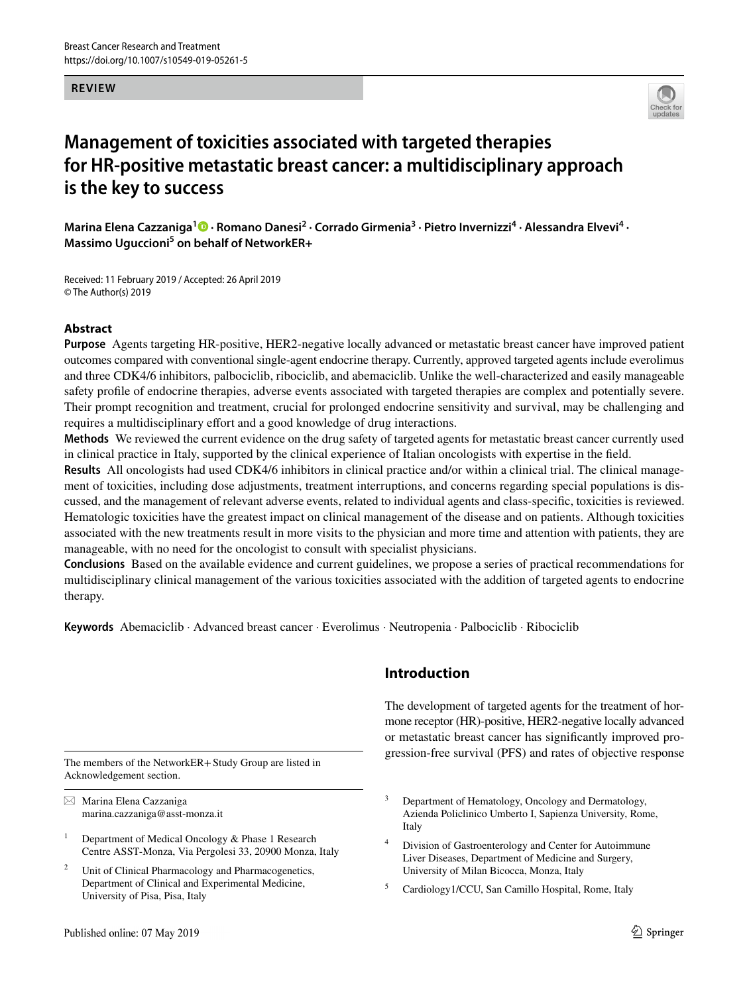#### **REVIEW**



# **Management of toxicities associated with targeted therapies for HR‑positive metastatic breast cancer: a multidisciplinary approach is the key to success**

Marina Elena Cazzaniga<sup>1</sup><sup>®</sup> [·](http://orcid.org/0000-0003-1756-6935) Romano Danesi<sup>2</sup> · Corrado Girmenia<sup>3</sup> · Pietro Invernizzi<sup>4</sup> · Alessandra Elvevi<sup>4</sup> · Massimo Uguccioni<sup>5</sup> on behalf of NetworkER+

Received: 11 February 2019 / Accepted: 26 April 2019 © The Author(s) 2019

## **Abstract**

**Purpose** Agents targeting HR-positive, HER2-negative locally advanced or metastatic breast cancer have improved patient outcomes compared with conventional single-agent endocrine therapy. Currently, approved targeted agents include everolimus and three CDK4/6 inhibitors, palbociclib, ribociclib, and abemaciclib. Unlike the well-characterized and easily manageable safety profle of endocrine therapies, adverse events associated with targeted therapies are complex and potentially severe. Their prompt recognition and treatment, crucial for prolonged endocrine sensitivity and survival, may be challenging and requires a multidisciplinary effort and a good knowledge of drug interactions.

**Methods** We reviewed the current evidence on the drug safety of targeted agents for metastatic breast cancer currently used in clinical practice in Italy, supported by the clinical experience of Italian oncologists with expertise in the feld.

**Results** All oncologists had used CDK4/6 inhibitors in clinical practice and/or within a clinical trial. The clinical management of toxicities, including dose adjustments, treatment interruptions, and concerns regarding special populations is discussed, and the management of relevant adverse events, related to individual agents and class-specifc, toxicities is reviewed. Hematologic toxicities have the greatest impact on clinical management of the disease and on patients. Although toxicities associated with the new treatments result in more visits to the physician and more time and attention with patients, they are manageable, with no need for the oncologist to consult with specialist physicians.

**Conclusions** Based on the available evidence and current guidelines, we propose a series of practical recommendations for multidisciplinary clinical management of the various toxicities associated with the addition of targeted agents to endocrine therapy.

**Keywords** Abemaciclib · Advanced breast cancer · Everolimus · Neutropenia · Palbociclib · Ribociclib

Acknowledgement section.

 $\boxtimes$  Marina Elena Cazzaniga marina.cazzaniga@asst-monza.it

- <sup>1</sup> Department of Medical Oncology  $\&$  Phase 1 Research Centre ASST-Monza, Via Pergolesi 33, 20900 Monza, Italy
- Unit of Clinical Pharmacology and Pharmacogenetics, Department of Clinical and Experimental Medicine, University of Pisa, Pisa, Italy

# **Introduction**

The development of targeted agents for the treatment of hormone receptor (HR)-positive, HER2-negative locally advanced or metastatic breast cancer has signifcantly improved pro-The members of the NetworkER+Study Group are listed in gression-free survival (PFS) and rates of objective response

- <sup>3</sup> Department of Hematology, Oncology and Dermatology, Azienda Policlinico Umberto I, Sapienza University, Rome, Italy
- Division of Gastroenterology and Center for Autoimmune Liver Diseases, Department of Medicine and Surgery, University of Milan Bicocca, Monza, Italy
- <sup>5</sup> Cardiology1/CCU, San Camillo Hospital, Rome, Italy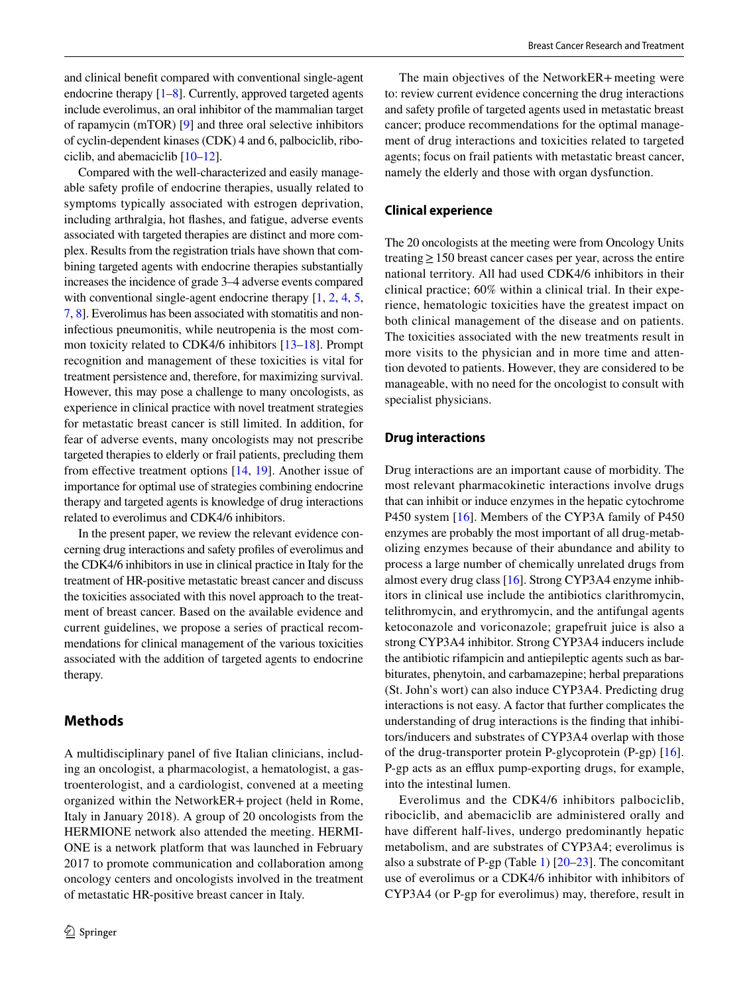and clinical beneft compared with conventional single-agent endocrine therapy [\[1](#page-9-0)[–8](#page-10-0)]. Currently, approved targeted agents include everolimus, an oral inhibitor of the mammalian target of rapamycin (mTOR) [\[9\]](#page-10-1) and three oral selective inhibitors of cyclin-dependent kinases (CDK) 4 and 6, palbociclib, ribociclib, and abemaciclib [[10](#page-10-2)[–12](#page-10-3)].

Compared with the well-characterized and easily manageable safety profle of endocrine therapies, usually related to symptoms typically associated with estrogen deprivation, including arthralgia, hot fashes, and fatigue, adverse events associated with targeted therapies are distinct and more complex. Results from the registration trials have shown that combining targeted agents with endocrine therapies substantially increases the incidence of grade 3–4 adverse events compared with conventional single-agent endocrine therapy  $[1, 2, 4, 5]$  $[1, 2, 4, 5]$  $[1, 2, 4, 5]$  $[1, 2, 4, 5]$  $[1, 2, 4, 5]$  $[1, 2, 4, 5]$  $[1, 2, 4, 5]$ , [7,](#page-10-4) [8](#page-10-0)]. Everolimus has been associated with stomatitis and noninfectious pneumonitis, while neutropenia is the most common toxicity related to CDK4/6 inhibitors [\[13](#page-10-5)[–18](#page-10-6)]. Prompt recognition and management of these toxicities is vital for treatment persistence and, therefore, for maximizing survival. However, this may pose a challenge to many oncologists, as experience in clinical practice with novel treatment strategies for metastatic breast cancer is still limited. In addition, for fear of adverse events, many oncologists may not prescribe targeted therapies to elderly or frail patients, precluding them from effective treatment options  $[14, 19]$  $[14, 19]$  $[14, 19]$ . Another issue of importance for optimal use of strategies combining endocrine therapy and targeted agents is knowledge of drug interactions related to everolimus and CDK4/6 inhibitors.

In the present paper, we review the relevant evidence concerning drug interactions and safety profles of everolimus and the CDK4/6 inhibitors in use in clinical practice in Italy for the treatment of HR-positive metastatic breast cancer and discuss the toxicities associated with this novel approach to the treatment of breast cancer. Based on the available evidence and current guidelines, we propose a series of practical recommendations for clinical management of the various toxicities associated with the addition of targeted agents to endocrine therapy.

# **Methods**

A multidisciplinary panel of fve Italian clinicians, including an oncologist, a pharmacologist, a hematologist, a gastroenterologist, and a cardiologist, convened at a meeting organized within the NetworkER+project (held in Rome, Italy in January 2018). A group of 20 oncologists from the HERMIONE network also attended the meeting. HERMI-ONE is a network platform that was launched in February 2017 to promote communication and collaboration among oncology centers and oncologists involved in the treatment of metastatic HR-positive breast cancer in Italy.

The main objectives of the NetworkER+meeting were to: review current evidence concerning the drug interactions and safety profle of targeted agents used in metastatic breast cancer; produce recommendations for the optimal management of drug interactions and toxicities related to targeted agents; focus on frail patients with metastatic breast cancer, namely the elderly and those with organ dysfunction.

#### **Clinical experience**

The 20 oncologists at the meeting were from Oncology Units treating≥150 breast cancer cases per year, across the entire national territory. All had used CDK4/6 inhibitors in their clinical practice; 60% within a clinical trial. In their experience, hematologic toxicities have the greatest impact on both clinical management of the disease and on patients. The toxicities associated with the new treatments result in more visits to the physician and in more time and attention devoted to patients. However, they are considered to be manageable, with no need for the oncologist to consult with specialist physicians.

## **Drug interactions**

Drug interactions are an important cause of morbidity. The most relevant pharmacokinetic interactions involve drugs that can inhibit or induce enzymes in the hepatic cytochrome P450 system [[16\]](#page-10-9). Members of the CYP3A family of P450 enzymes are probably the most important of all drug-metabolizing enzymes because of their abundance and ability to process a large number of chemically unrelated drugs from almost every drug class [\[16](#page-10-9)]. Strong CYP3A4 enzyme inhibitors in clinical use include the antibiotics clarithromycin, telithromycin, and erythromycin, and the antifungal agents ketoconazole and voriconazole; grapefruit juice is also a strong CYP3A4 inhibitor. Strong CYP3A4 inducers include the antibiotic rifampicin and antiepileptic agents such as barbiturates, phenytoin, and carbamazepine; herbal preparations (St. John's wort) can also induce CYP3A4. Predicting drug interactions is not easy. A factor that further complicates the understanding of drug interactions is the fnding that inhibitors/inducers and substrates of CYP3A4 overlap with those of the drug-transporter protein P-glycoprotein (P-gp) [\[16](#page-10-9)]. P-gp acts as an efflux pump-exporting drugs, for example, into the intestinal lumen.

Everolimus and the CDK4/6 inhibitors palbociclib, ribociclib, and abemaciclib are administered orally and have diferent half-lives, undergo predominantly hepatic metabolism, and are substrates of CYP3A4; everolimus is also a substrate of P-gp (Table [1](#page-3-0)) [\[20](#page-10-10)[–23](#page-10-11)]. The concomitant use of everolimus or a CDK4/6 inhibitor with inhibitors of CYP3A4 (or P-gp for everolimus) may, therefore, result in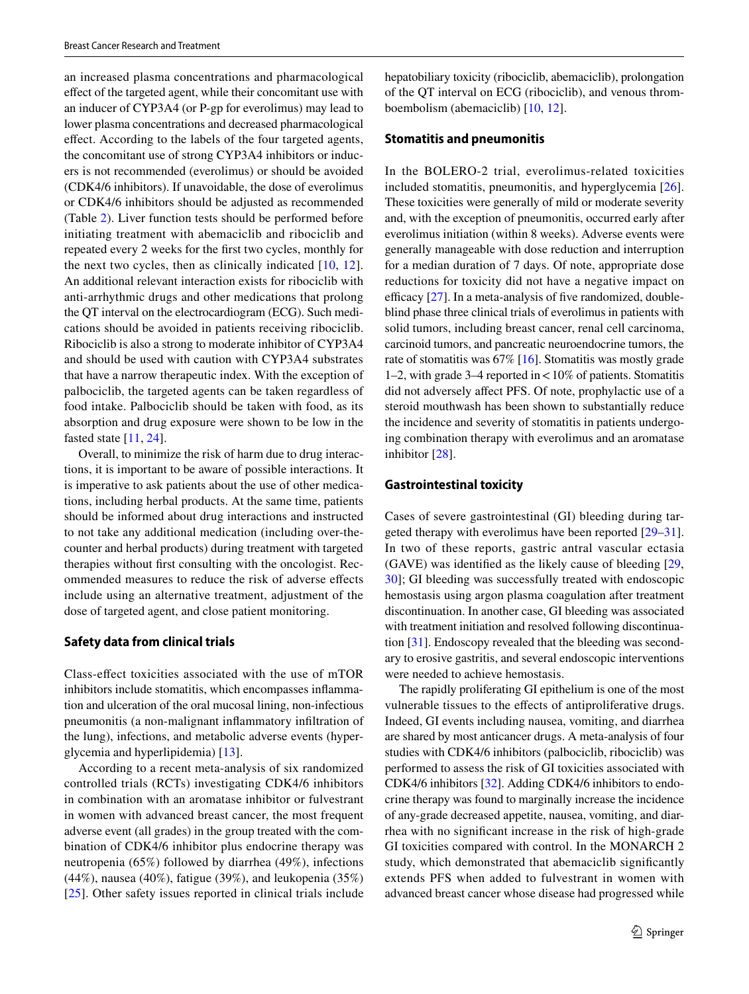an increased plasma concentrations and pharmacological efect of the targeted agent, while their concomitant use with an inducer of CYP3A4 (or P-gp for everolimus) may lead to lower plasma concentrations and decreased pharmacological efect. According to the labels of the four targeted agents, the concomitant use of strong CYP3A4 inhibitors or inducers is not recommended (everolimus) or should be avoided (CDK4/6 inhibitors). If unavoidable, the dose of everolimus or CDK4/6 inhibitors should be adjusted as recommended (Table [2](#page-5-0)). Liver function tests should be performed before initiating treatment with abemaciclib and ribociclib and repeated every 2 weeks for the frst two cycles, monthly for the next two cycles, then as clinically indicated  $[10, 12]$  $[10, 12]$  $[10, 12]$  $[10, 12]$  $[10, 12]$ . An additional relevant interaction exists for ribociclib with anti-arrhythmic drugs and other medications that prolong the QT interval on the electrocardiogram (ECG). Such medications should be avoided in patients receiving ribociclib. Ribociclib is also a strong to moderate inhibitor of CYP3A4 and should be used with caution with CYP3A4 substrates that have a narrow therapeutic index. With the exception of palbociclib, the targeted agents can be taken regardless of food intake. Palbociclib should be taken with food, as its absorption and drug exposure were shown to be low in the fasted state [[11,](#page-10-12) [24\]](#page-10-13).

Overall, to minimize the risk of harm due to drug interactions, it is important to be aware of possible interactions. It is imperative to ask patients about the use of other medications, including herbal products. At the same time, patients should be informed about drug interactions and instructed to not take any additional medication (including over-thecounter and herbal products) during treatment with targeted therapies without frst consulting with the oncologist. Recommended measures to reduce the risk of adverse efects include using an alternative treatment, adjustment of the dose of targeted agent, and close patient monitoring.

#### **Safety data from clinical trials**

Class-efect toxicities associated with the use of mTOR inhibitors include stomatitis, which encompasses infammation and ulceration of the oral mucosal lining, non-infectious pneumonitis (a non-malignant infammatory infltration of the lung), infections, and metabolic adverse events (hyperglycemia and hyperlipidemia) [\[13](#page-10-5)].

According to a recent meta-analysis of six randomized controlled trials (RCTs) investigating CDK4/6 inhibitors in combination with an aromatase inhibitor or fulvestrant in women with advanced breast cancer, the most frequent adverse event (all grades) in the group treated with the combination of CDK4/6 inhibitor plus endocrine therapy was neutropenia (65%) followed by diarrhea (49%), infections (44%), nausea (40%), fatigue (39%), and leukopenia (35%) [\[25\]](#page-10-14). Other safety issues reported in clinical trials include hepatobiliary toxicity (ribociclib, abemaciclib), prolongation of the QT interval on ECG (ribociclib), and venous thromboembolism (abemaciclib) [[10](#page-10-2), [12](#page-10-3)].

#### **Stomatitis and pneumonitis**

In the BOLERO-2 trial, everolimus-related toxicities included stomatitis, pneumonitis, and hyperglycemia [\[26](#page-10-15)]. These toxicities were generally of mild or moderate severity and, with the exception of pneumonitis, occurred early after everolimus initiation (within 8 weeks). Adverse events were generally manageable with dose reduction and interruption for a median duration of 7 days. Of note, appropriate dose reductions for toxicity did not have a negative impact on efficacy  $[27]$  $[27]$ . In a meta-analysis of five randomized, doubleblind phase three clinical trials of everolimus in patients with solid tumors, including breast cancer, renal cell carcinoma, carcinoid tumors, and pancreatic neuroendocrine tumors, the rate of stomatitis was 67% [\[16\]](#page-10-9). Stomatitis was mostly grade 1–2, with grade 3–4 reported in  $<$  10% of patients. Stomatitis did not adversely afect PFS. Of note, prophylactic use of a steroid mouthwash has been shown to substantially reduce the incidence and severity of stomatitis in patients undergoing combination therapy with everolimus and an aromatase inhibitor [[28\]](#page-11-1).

#### **Gastrointestinal toxicity**

Cases of severe gastrointestinal (GI) bleeding during targeted therapy with everolimus have been reported [\[29](#page-11-2)[–31](#page-11-3)]. In two of these reports, gastric antral vascular ectasia (GAVE) was identifed as the likely cause of bleeding [[29,](#page-11-2) [30](#page-11-4)]; GI bleeding was successfully treated with endoscopic hemostasis using argon plasma coagulation after treatment discontinuation. In another case, GI bleeding was associated with treatment initiation and resolved following discontinuation [\[31](#page-11-3)]. Endoscopy revealed that the bleeding was secondary to erosive gastritis, and several endoscopic interventions were needed to achieve hemostasis.

The rapidly proliferating GI epithelium is one of the most vulnerable tissues to the efects of antiproliferative drugs. Indeed, GI events including nausea, vomiting, and diarrhea are shared by most anticancer drugs. A meta-analysis of four studies with CDK4/6 inhibitors (palbociclib, ribociclib) was performed to assess the risk of GI toxicities associated with CDK4/6 inhibitors [[32\]](#page-11-5). Adding CDK4/6 inhibitors to endocrine therapy was found to marginally increase the incidence of any-grade decreased appetite, nausea, vomiting, and diarrhea with no signifcant increase in the risk of high-grade GI toxicities compared with control. In the MONARCH 2 study, which demonstrated that abemaciclib signifcantly extends PFS when added to fulvestrant in women with advanced breast cancer whose disease had progressed while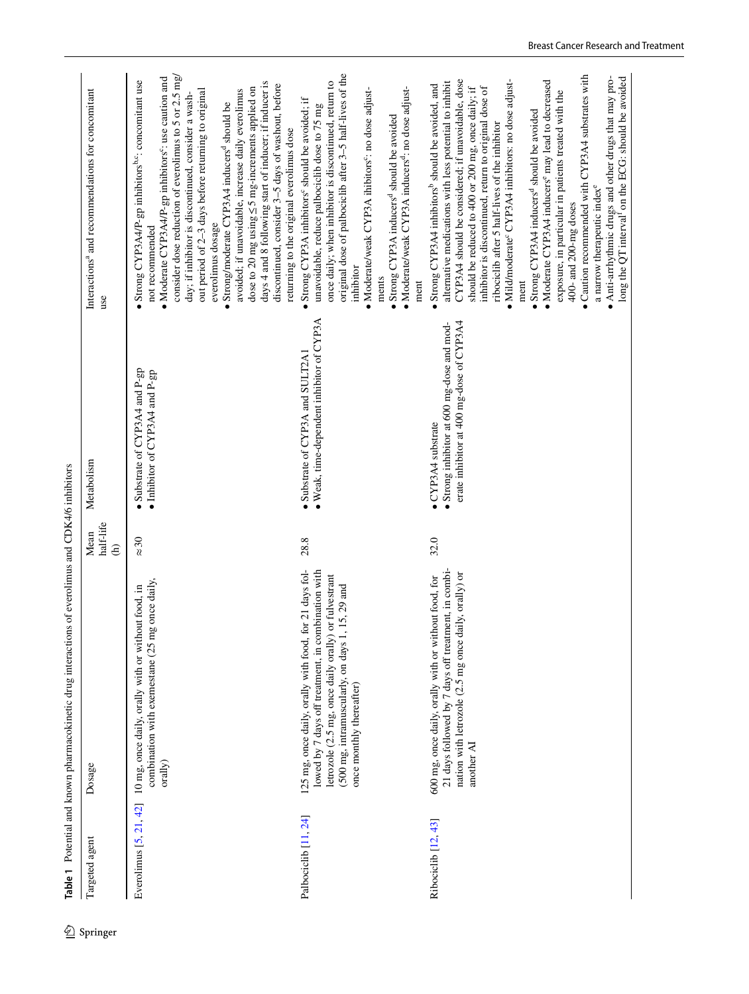| Targeted agent                   | Dosage                                                                                                                                                                                                                                                    | half-life<br>Mean<br>$\widehat{E}$ | Metabolism                                                                                                           | Interactions <sup>a</sup> and recommendations for concomitant<br>use                                                                                                                                                                                                                                                                                                                                                                                                                                                                                                                                                                                                                                                                                                                                                                                      |
|----------------------------------|-----------------------------------------------------------------------------------------------------------------------------------------------------------------------------------------------------------------------------------------------------------|------------------------------------|----------------------------------------------------------------------------------------------------------------------|-----------------------------------------------------------------------------------------------------------------------------------------------------------------------------------------------------------------------------------------------------------------------------------------------------------------------------------------------------------------------------------------------------------------------------------------------------------------------------------------------------------------------------------------------------------------------------------------------------------------------------------------------------------------------------------------------------------------------------------------------------------------------------------------------------------------------------------------------------------|
| Everolimus $[5, 21, 42]$         | combination with exemestane (25 mg once daily,<br>10 mg, once daily, orally with or without food, in<br>orally)                                                                                                                                           | $\approx 30$                       | Substrate of CYP3A4 and P-gp<br>· Inhibitor of CYP3A4 and P-gp                                                       | consider dose reduction of everolimus to 5 or 2.5 mg/<br>Moderate CYP3A4/P-gp inhibitors <sup>c</sup> : use caution and<br>Strong CYP3A4/P-gp inhibitors <sup>b,c</sup> : concomitant use<br>days 4 and 8 following start of inducer; if inducer is<br>discontinued, consider 3-5 days of washout, before<br>dose to 20 mg using ≤5 mg-increments applied on<br>avoided; if unavoidable, increase daily everolimus<br>out period of 2-3 days before returning to original<br>day; if inhibitor is discontinued, consider a wash-<br>Strong/moderate CYP3A4 inducers <sup>d</sup> should be<br>returning to the original everolimus dose<br>everolimus dosage<br>not recommended                                                                                                                                                                           |
| Palbociclib <sup>[11</sup> , 24] | 125 mg, once daily, orally with food, for 21 days fol-<br>lowed by 7 days off treatment, in combination with<br>or fulvestrant<br>15, 29 and<br>(500 mg, intramuscularly, on days 1,<br>letrozole (2.5 mg, once daily orally)<br>once monthly thereafter) | 28.8                               | · Weak, time-dependent inhibitor of CYP3A<br>Substrate of CYP3A and SULT2A1                                          | original dose of palbociclib after 3-5 half-lives of the<br>once daily; when inhibitor is discontinued, return to<br>Moderate/weak CYP3A inducers <sup>d</sup> : no dose adjust-<br>Moderate/weak CYP3A ihibitors <sup>c</sup> : no dose adjust-<br>Strong CYP3A inhibitors <sup>c</sup> should be avoided; if<br>unavoidable, reduce palbociclib dose to 75 mg<br>Strong CYP3A inducers <sup>d</sup> should be avoided<br>inhibitor<br>ments<br>ment                                                                                                                                                                                                                                                                                                                                                                                                     |
| Ribociclib <sup>[12,43]</sup>    | 21 days followed by 7 days off treatment, in combi-<br>nation with letrozole (2.5 mg once daily, orally) or<br>600 mg, once daily, orally with or without food, for<br>another AI                                                                         | 32.0                               | erate inhibitor at 400 mg-dose of CYP3A4<br>• Strong inhibitor at 600 mg-dose and mod-<br>$\bullet$ CYP3A4 substrate | • Caution recommended with CYP3A4 substrates with<br>Anti-arrhythmic drugs and other drugs that may prolong the $QT$ interval <sup>f</sup> on the ECG: should be avoided<br>CYP3A4 should be considered; if unavoidable, dose<br>• Moderate CYP3A4 inducers <sup>e</sup> may lead to decreased<br>Mild/moderate <sup>c</sup> CYP3A4 inhibitors: no dose adjust-<br>alternative medications with less potential to inhibit<br>· Strong CYP3A4 inhibitors <sup>b</sup> should be avoided, and<br>should be reduced to 400 or 200 mg, once daily; if<br>inhibitor is discontinued, return to original dose of<br>exposure, in particular in patients treated with the<br>Strong CYP3A4 inducers <sup>d</sup> should be avoided<br>ribociclib after 5 half-lives of the inhibitor<br>a narrow therapeutic index <sup>e</sup><br>400- and 200-mg doses<br>ment |

<span id="page-3-0"></span>and CDK4/6 inhibitors andian ر<br>م cokinetic drug interactions ŕ Table 1 Potential and kno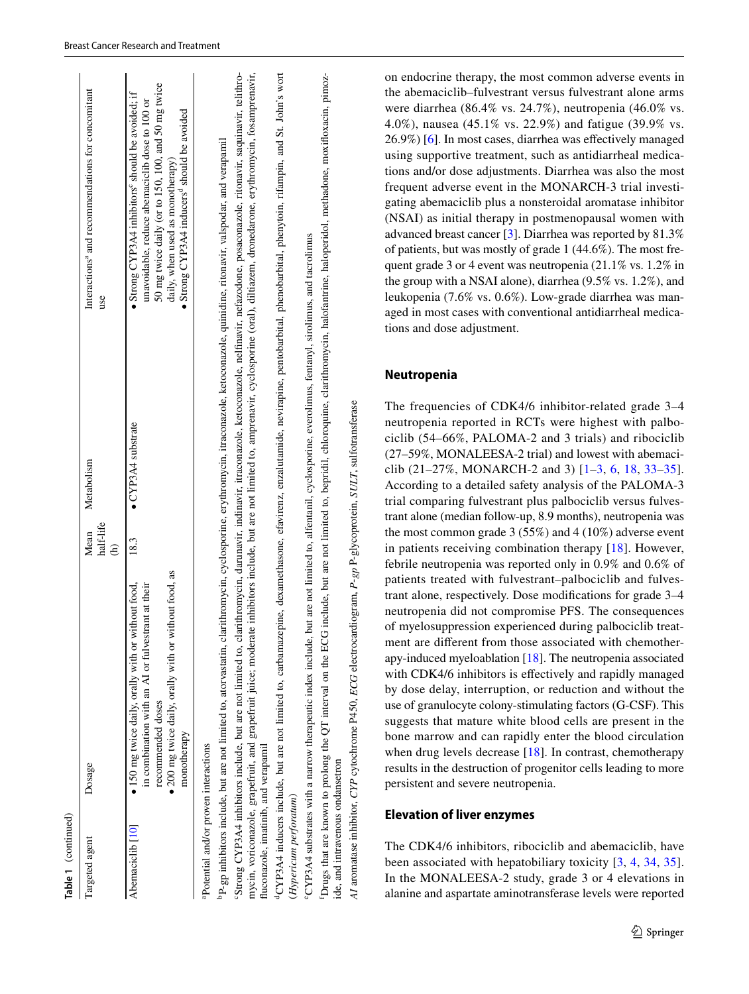| Table 1 (continued)                                                                                                 |                                                                                                                                                                                                                                                         |                        |                                                                                                   |                                                                                                                                                                                                                                                                                                                                                                                                                                                                                                                                                                                                                    |
|---------------------------------------------------------------------------------------------------------------------|---------------------------------------------------------------------------------------------------------------------------------------------------------------------------------------------------------------------------------------------------------|------------------------|---------------------------------------------------------------------------------------------------|--------------------------------------------------------------------------------------------------------------------------------------------------------------------------------------------------------------------------------------------------------------------------------------------------------------------------------------------------------------------------------------------------------------------------------------------------------------------------------------------------------------------------------------------------------------------------------------------------------------------|
| Targeted agent                                                                                                      | Dosage                                                                                                                                                                                                                                                  | half-life<br>Mean<br>Ê | Metabolism                                                                                        | Interactions <sup>4</sup> and recommendations for concomitant<br>use                                                                                                                                                                                                                                                                                                                                                                                                                                                                                                                                               |
| Abemaciclib <sup>[10]</sup>                                                                                         | • 200 mg twice daily, orally with or without food, as<br>in combination with an AI or fulvestrant at their<br>• 150 mg twice daily, orally with or without food,<br>recommended doses<br>monotherapy                                                    | 18.3                   | $\bullet$ CYP3A4 substrate                                                                        | 50 mg twice daily (or to 150, 100, and 50 mg twice<br>Strong CYP3A4 inhibitors <sup>c</sup> should be avoided; if<br>unavoidable, reduce abemaciclib dose to 100 or<br>Strong CYP3A4 inducers <sup>q</sup> should be avoided<br>daily, when used as monotherapy)                                                                                                                                                                                                                                                                                                                                                   |
| <sup>a</sup> Potential and/or proven interactions<br>fluconazole, imatinib, and verapamil<br>(Hypericum perforatum) | PP-gp inhibitors include, but are not limited to, atorvastatin, clarithromycin, cyclosporine, erythromycin, itraconazole, ketoconazole, quinidine, ritonavir, valspodar, and verapamil<br>eCYP3A4 substrates with a narrow therapeutic index include, I |                        | but are not limited to, alfentanil, cyclosporine, everolimus, fentanyl, sirolimus, and tacrolimus | <sup>d</sup> CYP3A4 inducers include, but are not limited to, carbamazepine, dexamethasone, efavirenz, enzalutamide, nevirapine, pentobarbital, phenobarbital, phenytoin, rifampin, and St. John's wort<br>Strong CYP3A4 inhibitors include, but are not limited to, clarithromycin, darunavir, indinavir, itraconazole, ketoconazole, nelfinavir, nefazodone, posaconazole, ritonavir, saquinavir, telithro-<br>mycin, voriconazole, grapefruit, and grapefruit juice; moderate inhibitors include, but are not limited to, amprenavir, cyclosporine (oral), diltiazem, dronedarone, erythromycin, fosamprenavir, |

Drugs that are known to prolong the QT interval on the ECG include, but are not limited to, bepridil, chloroquine, clarithromycin, halofantrine, haloperidol, methadone, moxifloxacin, pimozfDrugs that are known to prolong the QT interval on the ECG include, but are not limited to, bepridil, chloroquine, clarithromycin, halofantrine, haloperidol, methadone, moxifoxacin, pimozide, and intravenous ondansetron ide, and intravenous ondansetron

AI aromatase inhibitor, CYP cytochrome P450, ECG electrocardiogram,  $P-gp$  P-glycoprotein, SULT, sulfotransferase *P*-*gp* P-glycoprotein, *SULT*, sulfotransferase *AI* aromatase inhibitor, *CYP* cytochrome P450, *ECG* electrocardiogram, on endocrine therapy, the most common adverse events in the abemaciclib–fulvestrant versus fulvestrant alone arms were diarrhea (86.4% vs. 24.7%), neutropenia (46.0% vs. 4.0%), nausea (45.1% vs. 22.9%) and fatigue (39.9% vs. 26.9%) [\[6](#page-10-17)]. In most cases, diarrhea was efectively managed using supportive treatment, such as antidiarrheal medications and/or dose adjustments. Diarrhea was also the most frequent adverse event in the MONARCH-3 trial investigating abemaciclib plus a nonsteroidal aromatase inhibitor (NSAI) as initial therapy in postmenopausal women with advanced breast cancer [[3\]](#page-9-4). Diarrhea was reported by 81.3% of patients, but was mostly of grade 1 (44.6%). The most frequent grade 3 or 4 event was neutropenia (21.1% vs. 1.2% in the group with a NSAI alone), diarrhea (9.5% vs. 1.2%), and leukopenia (7.6% vs. 0.6%). Low-grade diarrhea was managed in most cases with conventional antidiarrheal medications and dose adjustment.

# **Neutropenia**

The frequencies of CDK4/6 inhibitor-related grade 3–4 neutropenia reported in RCTs were highest with palbociclib (54–66%, PALOMA-2 and 3 trials) and ribociclib (27–59%, MONALEESA-2 trial) and lowest with abemaciclib  $(21-27\%, MONARCH-2 \text{ and } 3)$  [\[1](#page-9-0)-[3,](#page-9-4) [6,](#page-10-17) [18,](#page-10-6) 33-[35](#page-11-9)]. According to a detailed safety analysis of the PALOMA-3 trial comparing fulvestrant plus palbociclib versus fulvestrant alone (median follow-up, 8.9 months), neutropenia was the most common grade 3 (55%) and 4 (10%) adverse event in patients receiving combination therapy [[18](#page-10-6)]. However, febrile neutropenia was reported only in 0.9% and 0.6% of patients treated with fulvestrant–palbociclib and fulvestrant alone, respectively. Dose modifcations for grade 3–4 neutropenia did not compromise PFS. The consequences of myelosuppression experienced during palbociclib treatment are diferent from those associated with chemotherapy-induced myeloablation [[18\]](#page-10-6). The neutropenia associated with CDK4/6 inhibitors is effectively and rapidly managed by dose delay, interruption, or reduction and without the use of granulocyte colony-stimulating factors (G-CSF). This suggests that mature white blood cells are present in the bone marrow and can rapidly enter the blood circulation when drug levels decrease [[18\]](#page-10-6). In contrast, chemotherapy results in the destruction of progenitor cells leading to more persistent and severe neutropenia.

# **Elevation of liver enzymes**

The CDK4/6 inhibitors, ribociclib and abemaciclib, have been associated with hepatobiliary toxicity [[3,](#page-9-4) [4,](#page-9-2) [34](#page-11-10), [35](#page-11-9)]. In the MONALEESA-2 study, grade 3 or 4 elevations in alanine and aspartate aminotransferase levels were reported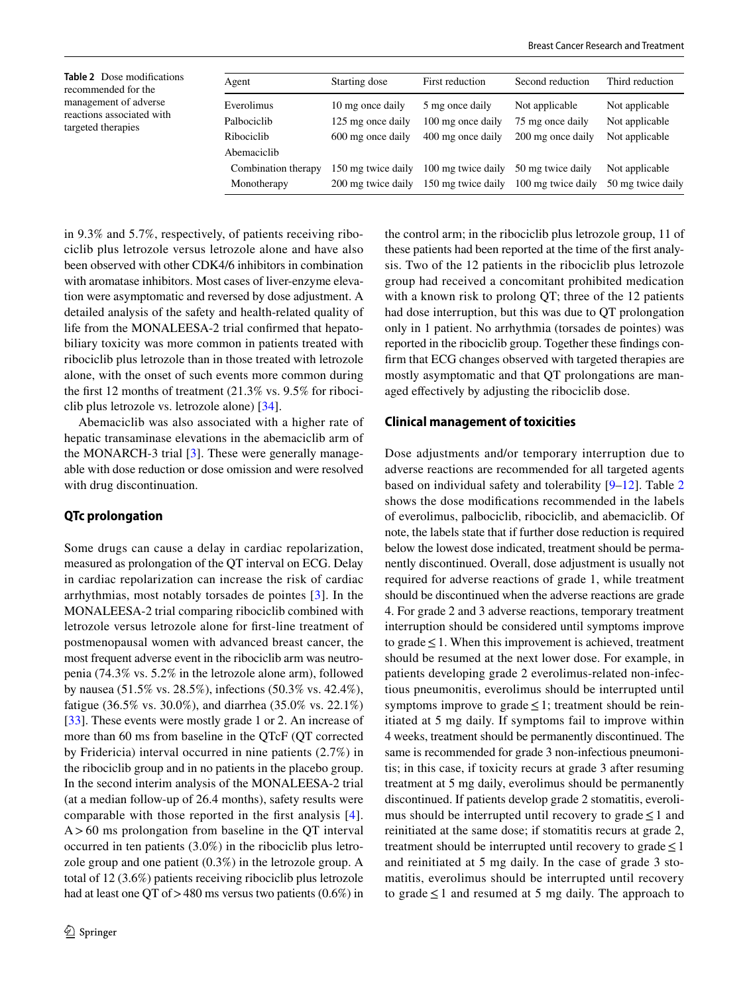<span id="page-5-0"></span>**Table 2** Dose modifcations recommended for the management of adverse reactions associated with targeted therapies Agent Starting dose First reduction Second reduction Third reduction Everolimus 10 mg once daily 5 mg once daily Not applicable Not applicable Palbociclib 125 mg once daily 100 mg once daily 75 mg once daily Not applicable Ribociclib 600 mg once daily 400 mg once daily 200 mg once daily Not applicable Abemaciclib Combination therapy 150 mg twice daily 100 mg twice daily 50 mg twice daily Not applicable Monotherapy 200 mg twice daily 150 mg twice daily 100 mg twice daily 50 mg twice daily

in 9.3% and 5.7%, respectively, of patients receiving ribociclib plus letrozole versus letrozole alone and have also been observed with other CDK4/6 inhibitors in combination with aromatase inhibitors. Most cases of liver-enzyme elevation were asymptomatic and reversed by dose adjustment. A detailed analysis of the safety and health-related quality of life from the MONALEESA-2 trial confrmed that hepatobiliary toxicity was more common in patients treated with ribociclib plus letrozole than in those treated with letrozole alone, with the onset of such events more common during the frst 12 months of treatment (21.3% vs. 9.5% for ribociclib plus letrozole vs. letrozole alone) [\[34](#page-11-10)].

Abemaciclib was also associated with a higher rate of hepatic transaminase elevations in the abemaciclib arm of the MONARCH-3 trial [\[3](#page-9-4)]. These were generally manageable with dose reduction or dose omission and were resolved with drug discontinuation.

## **QTc prolongation**

Some drugs can cause a delay in cardiac repolarization, measured as prolongation of the QT interval on ECG. Delay in cardiac repolarization can increase the risk of cardiac arrhythmias, most notably torsades de pointes [\[3](#page-9-4)]. In the MONALEESA-2 trial comparing ribociclib combined with letrozole versus letrozole alone for frst-line treatment of postmenopausal women with advanced breast cancer, the most frequent adverse event in the ribociclib arm was neutropenia (74.3% vs. 5.2% in the letrozole alone arm), followed by nausea (51.5% vs. 28.5%), infections (50.3% vs. 42.4%), fatigue (36.5% vs. 30.0%), and diarrhea (35.0% vs. 22.1%) [\[33](#page-11-8)]. These events were mostly grade 1 or 2. An increase of more than 60 ms from baseline in the QTcF (QT corrected by Fridericia) interval occurred in nine patients (2.7%) in the ribociclib group and in no patients in the placebo group. In the second interim analysis of the MONALEESA-2 trial (at a median follow-up of 26.4 months), safety results were comparable with those reported in the frst analysis [[4](#page-9-2)].  $A > 60$  ms prolongation from baseline in the QT interval occurred in ten patients (3.0%) in the ribociclib plus letrozole group and one patient (0.3%) in the letrozole group. A total of 12 (3.6%) patients receiving ribociclib plus letrozole had at least one QT of  $>480$  ms versus two patients (0.6%) in the control arm; in the ribociclib plus letrozole group, 11 of these patients had been reported at the time of the frst analysis. Two of the 12 patients in the ribociclib plus letrozole group had received a concomitant prohibited medication with a known risk to prolong QT; three of the 12 patients had dose interruption, but this was due to QT prolongation only in 1 patient. No arrhythmia (torsades de pointes) was reported in the ribociclib group. Together these fndings confrm that ECG changes observed with targeted therapies are mostly asymptomatic and that QT prolongations are managed effectively by adjusting the ribociclib dose.

#### **Clinical management of toxicities**

Dose adjustments and/or temporary interruption due to adverse reactions are recommended for all targeted agents based on individual safety and tolerability [[9–](#page-10-1)[12\]](#page-10-3). Table [2](#page-5-0) shows the dose modifcations recommended in the labels of everolimus, palbociclib, ribociclib, and abemaciclib. Of note, the labels state that if further dose reduction is required below the lowest dose indicated, treatment should be permanently discontinued. Overall, dose adjustment is usually not required for adverse reactions of grade 1, while treatment should be discontinued when the adverse reactions are grade 4. For grade 2 and 3 adverse reactions, temporary treatment interruption should be considered until symptoms improve to grade  $\leq$  1. When this improvement is achieved, treatment should be resumed at the next lower dose. For example, in patients developing grade 2 everolimus-related non-infectious pneumonitis, everolimus should be interrupted until symptoms improve to grade  $\leq 1$ ; treatment should be reinitiated at 5 mg daily. If symptoms fail to improve within 4 weeks, treatment should be permanently discontinued. The same is recommended for grade 3 non-infectious pneumonitis; in this case, if toxicity recurs at grade 3 after resuming treatment at 5 mg daily, everolimus should be permanently discontinued. If patients develop grade 2 stomatitis, everolimus should be interrupted until recovery to grade  $\leq 1$  and reinitiated at the same dose; if stomatitis recurs at grade 2, treatment should be interrupted until recovery to grade  $\leq 1$ and reinitiated at 5 mg daily. In the case of grade 3 stomatitis, everolimus should be interrupted until recovery to grade  $\leq 1$  and resumed at 5 mg daily. The approach to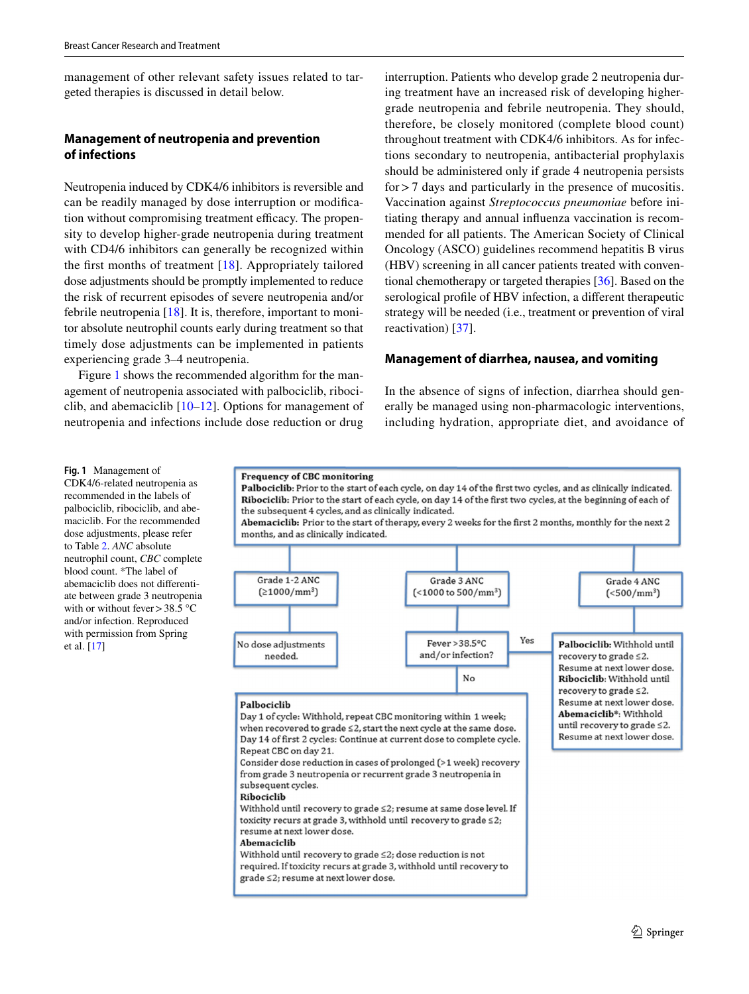management of other relevant safety issues related to targeted therapies is discussed in detail below.

# **Management of neutropenia and prevention of infections**

Neutropenia induced by CDK4/6 inhibitors is reversible and can be readily managed by dose interruption or modifcation without compromising treatment efficacy. The propensity to develop higher-grade neutropenia during treatment with CD4/6 inhibitors can generally be recognized within the first months of treatment  $[18]$  $[18]$  $[18]$ . Appropriately tailored dose adjustments should be promptly implemented to reduce the risk of recurrent episodes of severe neutropenia and/or febrile neutropenia  $[18]$  $[18]$ . It is, therefore, important to monitor absolute neutrophil counts early during treatment so that timely dose adjustments can be implemented in patients experiencing grade 3–4 neutropenia.

Figure [1](#page-6-0) shows the recommended algorithm for the management of neutropenia associated with palbociclib, ribociclib, and abemaciclib [[10–](#page-10-2)[12](#page-10-3)]. Options for management of neutropenia and infections include dose reduction or drug interruption. Patients who develop grade 2 neutropenia during treatment have an increased risk of developing highergrade neutropenia and febrile neutropenia. They should, therefore, be closely monitored (complete blood count) throughout treatment with CDK4/6 inhibitors. As for infections secondary to neutropenia, antibacterial prophylaxis should be administered only if grade 4 neutropenia persists for>7 days and particularly in the presence of mucositis. Vaccination against *Streptococcus pneumoniae* before initiating therapy and annual infuenza vaccination is recommended for all patients. The American Society of Clinical Oncology (ASCO) guidelines recommend hepatitis B virus (HBV) screening in all cancer patients treated with conventional chemotherapy or targeted therapies [\[36](#page-11-11)]. Based on the serological profle of HBV infection, a diferent therapeutic strategy will be needed (i.e., treatment or prevention of viral reactivation) [[37](#page-11-12)].

## **Management of diarrhea, nausea, and vomiting**

In the absence of signs of infection, diarrhea should generally be managed using non-pharmacologic interventions, including hydration, appropriate diet, and avoidance of

<span id="page-6-0"></span>**Fig. 1** Management of

CDK4/6-related neutropenia as recommended in the labels of palbociclib, ribociclib, and abemaciclib. For the recommended dose adjustments, please refer to Table [2](#page-5-0). *ANC* absolute neutrophil count, *CBC* complete blood count. \*The label of abemaciclib does not diferentiate between grade 3 neutropenia with or without fever > 38.5  $\degree$ C and/or infection. Reproduced with permission from Spring et al. [\[17\]](#page-10-18)

#### **Frequency of CBC monitoring**

Palbociclib: Prior to the start of each cycle, on day 14 of the first two cycles, and as clinically indicated. Ribociclib: Prior to the start of each cycle, on day 14 of the first two cycles, at the beginning of each of the subsequent 4 cycles, and as clinically indicated.

Abemaciclib: Prior to the start of therapy, every 2 weeks for the first 2 months, monthly for the next 2 months, and as clinically indicated.

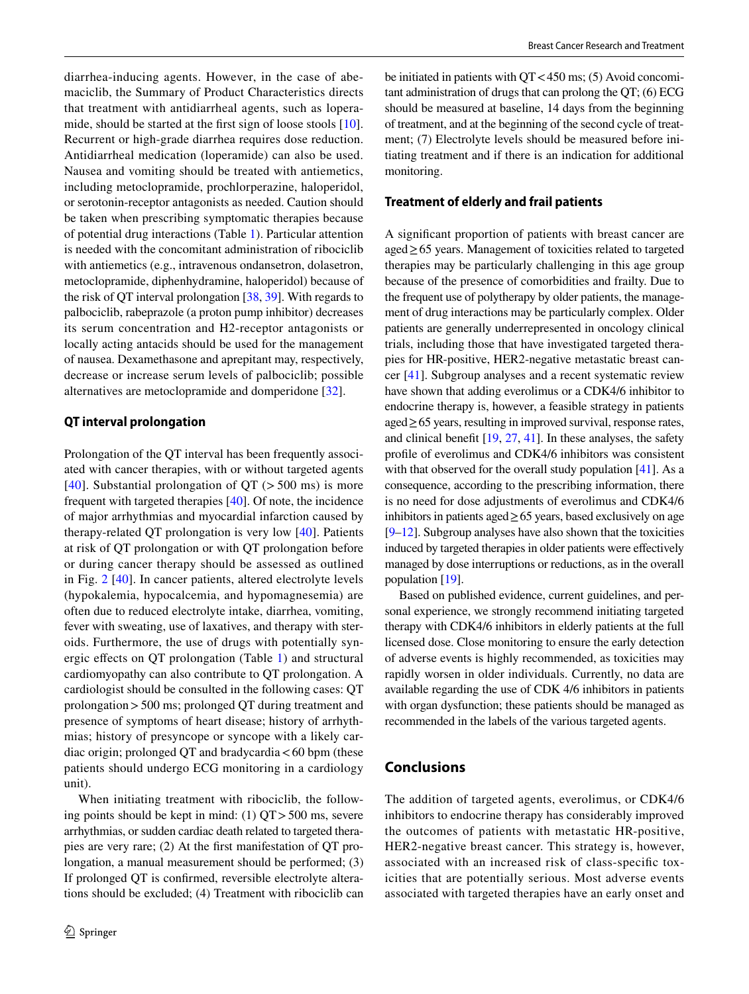diarrhea-inducing agents. However, in the case of abemaciclib, the Summary of Product Characteristics directs that treatment with antidiarrheal agents, such as lopera-mide, should be started at the first sign of loose stools [\[10](#page-10-2)]. Recurrent or high-grade diarrhea requires dose reduction. Antidiarrheal medication (loperamide) can also be used. Nausea and vomiting should be treated with antiemetics, including metoclopramide, prochlorperazine, haloperidol, or serotonin-receptor antagonists as needed. Caution should be taken when prescribing symptomatic therapies because of potential drug interactions (Table [1\)](#page-3-0). Particular attention is needed with the concomitant administration of ribociclib with antiemetics (e.g., intravenous ondansetron, dolasetron, metoclopramide, diphenhydramine, haloperidol) because of the risk of QT interval prolongation [\[38](#page-11-13), [39\]](#page-11-14). With regards to palbociclib, rabeprazole (a proton pump inhibitor) decreases its serum concentration and H2-receptor antagonists or locally acting antacids should be used for the management of nausea. Dexamethasone and aprepitant may, respectively, decrease or increase serum levels of palbociclib; possible alternatives are metoclopramide and domperidone [\[32](#page-11-5)].

## **QT interval prolongation**

Prolongation of the QT interval has been frequently associated with cancer therapies, with or without targeted agents [[40\]](#page-11-15). Substantial prolongation of  $QT$  ( $>$  500 ms) is more frequent with targeted therapies [\[40](#page-11-15)]. Of note, the incidence of major arrhythmias and myocardial infarction caused by therapy-related QT prolongation is very low [\[40](#page-11-15)]. Patients at risk of QT prolongation or with QT prolongation before or during cancer therapy should be assessed as outlined in Fig. [2](#page-8-0) [\[40](#page-11-15)]. In cancer patients, altered electrolyte levels (hypokalemia, hypocalcemia, and hypomagnesemia) are often due to reduced electrolyte intake, diarrhea, vomiting, fever with sweating, use of laxatives, and therapy with steroids. Furthermore, the use of drugs with potentially synergic efects on QT prolongation (Table [1](#page-3-0)) and structural cardiomyopathy can also contribute to QT prolongation. A cardiologist should be consulted in the following cases: QT prolongation>500 ms; prolonged QT during treatment and presence of symptoms of heart disease; history of arrhythmias; history of presyncope or syncope with a likely cardiac origin; prolonged QT and bradycardia < 60 bpm (these patients should undergo ECG monitoring in a cardiology unit).

When initiating treatment with ribociclib, the following points should be kept in mind:  $(1)$  QT > 500 ms, severe arrhythmias, or sudden cardiac death related to targeted therapies are very rare; (2) At the frst manifestation of QT prolongation, a manual measurement should be performed; (3) If prolonged QT is confrmed, reversible electrolyte alterations should be excluded; (4) Treatment with ribociclib can be initiated in patients with  $QT < 450$  ms; (5) Avoid concomitant administration of drugs that can prolong the QT; (6) ECG should be measured at baseline, 14 days from the beginning of treatment, and at the beginning of the second cycle of treatment; (7) Electrolyte levels should be measured before initiating treatment and if there is an indication for additional monitoring.

#### **Treatment of elderly and frail patients**

A signifcant proportion of patients with breast cancer are aged≥65 years. Management of toxicities related to targeted therapies may be particularly challenging in this age group because of the presence of comorbidities and frailty. Due to the frequent use of polytherapy by older patients, the management of drug interactions may be particularly complex. Older patients are generally underrepresented in oncology clinical trials, including those that have investigated targeted therapies for HR-positive, HER2-negative metastatic breast cancer [\[41](#page-11-16)]. Subgroup analyses and a recent systematic review have shown that adding everolimus or a CDK4/6 inhibitor to endocrine therapy is, however, a feasible strategy in patients aged≥65 years, resulting in improved survival, response rates, and clinical beneft [\[19,](#page-10-8) [27,](#page-11-0) [41\]](#page-11-16). In these analyses, the safety profle of everolimus and CDK4/6 inhibitors was consistent with that observed for the overall study population [[41](#page-11-16)]. As a consequence, according to the prescribing information, there is no need for dose adjustments of everolimus and CDK4/6 inhibitors in patients aged $\geq$  65 years, based exclusively on age [\[9](#page-10-1)[–12](#page-10-3)]. Subgroup analyses have also shown that the toxicities induced by targeted therapies in older patients were efectively managed by dose interruptions or reductions, as in the overall population [[19](#page-10-8)].

Based on published evidence, current guidelines, and personal experience, we strongly recommend initiating targeted therapy with CDK4/6 inhibitors in elderly patients at the full licensed dose. Close monitoring to ensure the early detection of adverse events is highly recommended, as toxicities may rapidly worsen in older individuals. Currently, no data are available regarding the use of CDK 4/6 inhibitors in patients with organ dysfunction; these patients should be managed as recommended in the labels of the various targeted agents.

## **Conclusions**

The addition of targeted agents, everolimus, or CDK4/6 inhibitors to endocrine therapy has considerably improved the outcomes of patients with metastatic HR-positive, HER2-negative breast cancer. This strategy is, however, associated with an increased risk of class-specifc toxicities that are potentially serious. Most adverse events associated with targeted therapies have an early onset and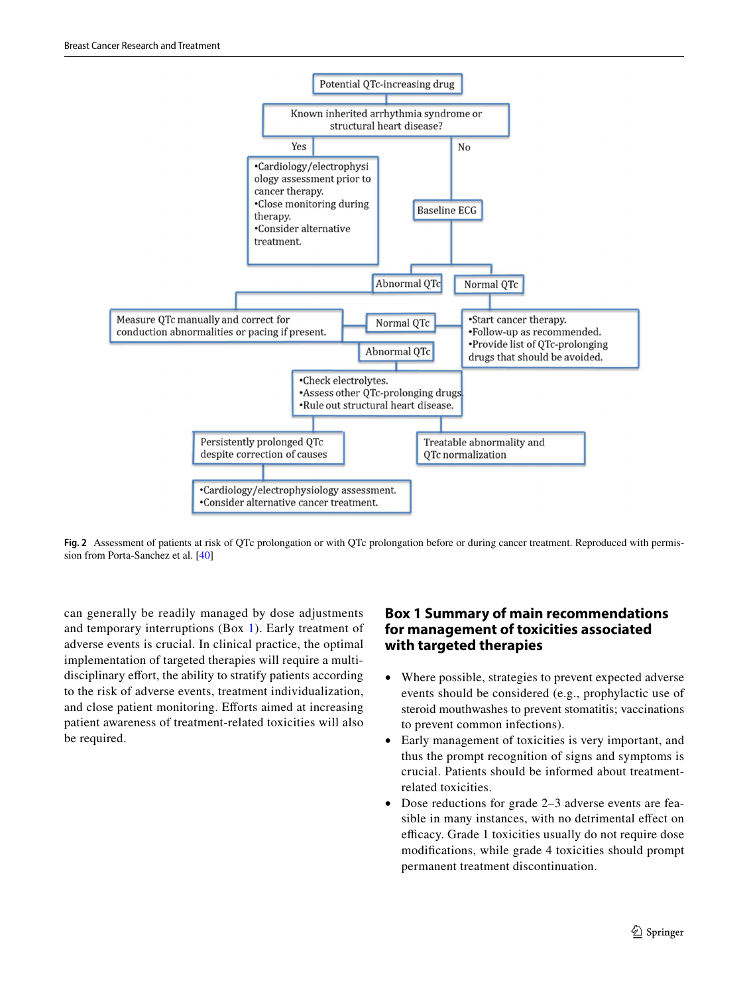

<span id="page-8-0"></span>**Fig. 2** Assessment of patients at risk of QTc prolongation or with QTc prolongation before or during cancer treatment. Reproduced with permission from Porta-Sanchez et al. [[40](#page-11-15)]

can generally be readily managed by dose adjustments and temporary interruptions (Box [1\)](#page-8-1). Early treatment of adverse events is crucial. In clinical practice, the optimal implementation of targeted therapies will require a multidisciplinary effort, the ability to stratify patients according to the risk of adverse events, treatment individualization, and close patient monitoring. Eforts aimed at increasing patient awareness of treatment-related toxicities will also be required.

# <span id="page-8-1"></span>**Box 1 Summary of main recommendations for management of toxicities associated with targeted therapies**

- Where possible, strategies to prevent expected adverse events should be considered (e.g., prophylactic use of steroid mouthwashes to prevent stomatitis; vaccinations to prevent common infections).
- Early management of toxicities is very important, and thus the prompt recognition of signs and symptoms is crucial. Patients should be informed about treatmentrelated toxicities.
- Dose reductions for grade 2–3 adverse events are feasible in many instances, with no detrimental efect on efficacy. Grade 1 toxicities usually do not require dose modifcations, while grade 4 toxicities should prompt permanent treatment discontinuation.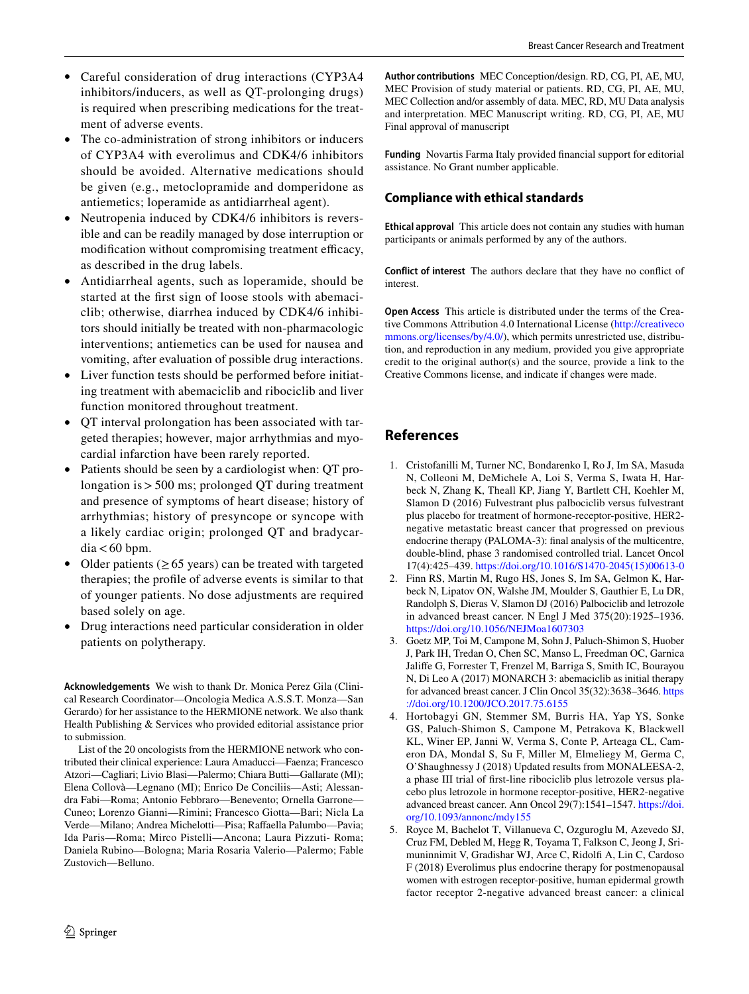- Careful consideration of drug interactions (CYP3A4 inhibitors/inducers, as well as QT-prolonging drugs) is required when prescribing medications for the treatment of adverse events.
- The co-administration of strong inhibitors or inducers of CYP3A4 with everolimus and CDK4/6 inhibitors should be avoided. Alternative medications should be given (e.g., metoclopramide and domperidone as antiemetics; loperamide as antidiarrheal agent).
- Neutropenia induced by CDK4/6 inhibitors is reversible and can be readily managed by dose interruption or modification without compromising treatment efficacy, as described in the drug labels.
- Antidiarrheal agents, such as loperamide, should be started at the frst sign of loose stools with abemaciclib; otherwise, diarrhea induced by CDK4/6 inhibitors should initially be treated with non-pharmacologic interventions; antiemetics can be used for nausea and vomiting, after evaluation of possible drug interactions.
- Liver function tests should be performed before initiating treatment with abemaciclib and ribociclib and liver function monitored throughout treatment.
- QT interval prolongation has been associated with targeted therapies; however, major arrhythmias and myocardial infarction have been rarely reported.
- Patients should be seen by a cardiologist when: QT prolongation is>500 ms; prolonged QT during treatment and presence of symptoms of heart disease; history of arrhythmias; history of presyncope or syncope with a likely cardiac origin; prolonged QT and bradycar $dia < 60$  bpm.
- Older patients ( $\geq 65$  years) can be treated with targeted therapies; the profle of adverse events is similar to that of younger patients. No dose adjustments are required based solely on age.
- Drug interactions need particular consideration in older patients on polytherapy.

**Acknowledgements** We wish to thank Dr. Monica Perez Gila (Clinical Research Coordinator—Oncologia Medica A.S.S.T. Monza—San Gerardo) for her assistance to the HERMIONE network. We also thank Health Publishing & Services who provided editorial assistance prior to submission.

List of the 20 oncologists from the HERMIONE network who contributed their clinical experience: Laura Amaducci—Faenza; Francesco Atzori—Cagliari; Livio Blasi—Palermo; Chiara Butti—Gallarate (MI); Elena Collovà—Legnano (MI); Enrico De Conciliis—Asti; Alessandra Fabi—Roma; Antonio Febbraro—Benevento; Ornella Garrone— Cuneo; Lorenzo Gianni—Rimini; Francesco Giotta—Bari; Nicla La Verde—Milano; Andrea Michelotti—Pisa; Raffaella Palumbo—Pavia; Ida Paris—Roma; Mirco Pistelli—Ancona; Laura Pizzuti- Roma; Daniela Rubino—Bologna; Maria Rosaria Valerio—Palermo; Fable Zustovich—Belluno.

**Author contributions** MEC Conception/design. RD, CG, PI, AE, MU, MEC Provision of study material or patients. RD, CG, PI, AE, MU, MEC Collection and/or assembly of data. MEC, RD, MU Data analysis and interpretation. MEC Manuscript writing. RD, CG, PI, AE, MU Final approval of manuscript

**Funding** Novartis Farma Italy provided fnancial support for editorial assistance. No Grant number applicable.

# **Compliance with ethical standards**

**Ethical approval** This article does not contain any studies with human participants or animals performed by any of the authors.

**Conflict of interest** The authors declare that they have no confict of interest.

**Open Access** This article is distributed under the terms of the Creative Commons Attribution 4.0 International License ([http://creativeco](http://creativecommons.org/licenses/by/4.0/) [mmons.org/licenses/by/4.0/](http://creativecommons.org/licenses/by/4.0/)), which permits unrestricted use, distribution, and reproduction in any medium, provided you give appropriate credit to the original author(s) and the source, provide a link to the Creative Commons license, and indicate if changes were made.

# **References**

- <span id="page-9-0"></span>1. Cristofanilli M, Turner NC, Bondarenko I, Ro J, Im SA, Masuda N, Colleoni M, DeMichele A, Loi S, Verma S, Iwata H, Harbeck N, Zhang K, Theall KP, Jiang Y, Bartlett CH, Koehler M, Slamon D (2016) Fulvestrant plus palbociclib versus fulvestrant plus placebo for treatment of hormone-receptor-positive, HER2 negative metastatic breast cancer that progressed on previous endocrine therapy (PALOMA-3): fnal analysis of the multicentre, double-blind, phase 3 randomised controlled trial. Lancet Oncol 17(4):425–439. [https://doi.org/10.1016/S1470-2045\(15\)00613-0](https://doi.org/10.1016/S1470-2045(15)00613-0)
- <span id="page-9-1"></span>2. Finn RS, Martin M, Rugo HS, Jones S, Im SA, Gelmon K, Harbeck N, Lipatov ON, Walshe JM, Moulder S, Gauthier E, Lu DR, Randolph S, Dieras V, Slamon DJ (2016) Palbociclib and letrozole in advanced breast cancer. N Engl J Med 375(20):1925–1936. <https://doi.org/10.1056/NEJMoa1607303>
- <span id="page-9-4"></span>3. Goetz MP, Toi M, Campone M, Sohn J, Paluch-Shimon S, Huober J, Park IH, Tredan O, Chen SC, Manso L, Freedman OC, Garnica Jalife G, Forrester T, Frenzel M, Barriga S, Smith IC, Bourayou N, Di Leo A (2017) MONARCH 3: abemaciclib as initial therapy for advanced breast cancer. J Clin Oncol 35(32):3638–3646. [https](https://doi.org/10.1200/JCO.2017.75.6155) [://doi.org/10.1200/JCO.2017.75.6155](https://doi.org/10.1200/JCO.2017.75.6155)
- <span id="page-9-2"></span>4. Hortobagyi GN, Stemmer SM, Burris HA, Yap YS, Sonke GS, Paluch-Shimon S, Campone M, Petrakova K, Blackwell KL, Winer EP, Janni W, Verma S, Conte P, Arteaga CL, Cameron DA, Mondal S, Su F, Miller M, Elmeliegy M, Germa C, O'Shaughnessy J (2018) Updated results from MONALEESA-2, a phase III trial of frst-line ribociclib plus letrozole versus placebo plus letrozole in hormone receptor-positive, HER2-negative advanced breast cancer. Ann Oncol 29(7):1541–1547. [https://doi.](https://doi.org/10.1093/annonc/mdy155) [org/10.1093/annonc/mdy155](https://doi.org/10.1093/annonc/mdy155)
- <span id="page-9-3"></span>5. Royce M, Bachelot T, Villanueva C, Ozguroglu M, Azevedo SJ, Cruz FM, Debled M, Hegg R, Toyama T, Falkson C, Jeong J, Srimuninnimit V, Gradishar WJ, Arce C, Ridolf A, Lin C, Cardoso F (2018) Everolimus plus endocrine therapy for postmenopausal women with estrogen receptor-positive, human epidermal growth factor receptor 2-negative advanced breast cancer: a clinical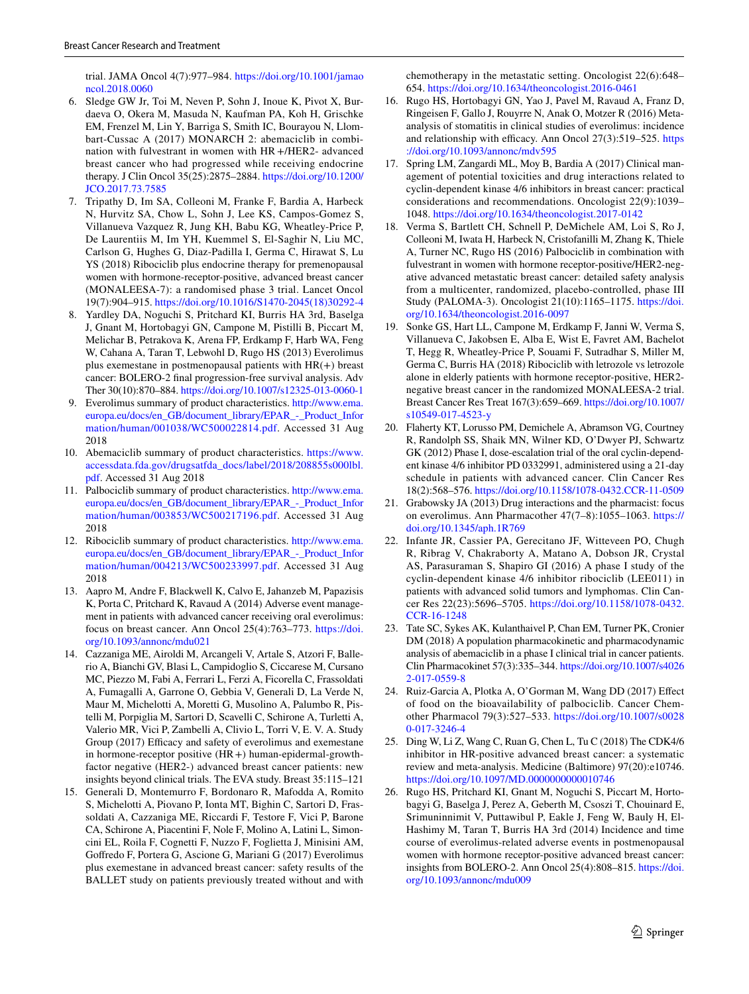trial. JAMA Oncol 4(7):977–984. [https://doi.org/10.1001/jamao](https://doi.org/10.1001/jamaoncol.2018.0060) [ncol.2018.0060](https://doi.org/10.1001/jamaoncol.2018.0060)

- <span id="page-10-17"></span>6. Sledge GW Jr, Toi M, Neven P, Sohn J, Inoue K, Pivot X, Burdaeva O, Okera M, Masuda N, Kaufman PA, Koh H, Grischke EM, Frenzel M, Lin Y, Barriga S, Smith IC, Bourayou N, Llombart-Cussac A (2017) MONARCH 2: abemaciclib in combination with fulvestrant in women with HR+/HER2- advanced breast cancer who had progressed while receiving endocrine therapy. J Clin Oncol 35(25):2875–2884. [https://doi.org/10.1200/](https://doi.org/10.1200/JCO.2017.73.7585) [JCO.2017.73.7585](https://doi.org/10.1200/JCO.2017.73.7585)
- <span id="page-10-4"></span>7. Tripathy D, Im SA, Colleoni M, Franke F, Bardia A, Harbeck N, Hurvitz SA, Chow L, Sohn J, Lee KS, Campos-Gomez S, Villanueva Vazquez R, Jung KH, Babu KG, Wheatley-Price P, De Laurentiis M, Im YH, Kuemmel S, El-Saghir N, Liu MC, Carlson G, Hughes G, Diaz-Padilla I, Germa C, Hirawat S, Lu YS (2018) Ribociclib plus endocrine therapy for premenopausal women with hormone-receptor-positive, advanced breast cancer (MONALEESA-7): a randomised phase 3 trial. Lancet Oncol 19(7):904–915. [https://doi.org/10.1016/S1470-2045\(18\)30292-4](https://doi.org/10.1016/S1470-2045(18)30292-4)
- <span id="page-10-0"></span>8. Yardley DA, Noguchi S, Pritchard KI, Burris HA 3rd, Baselga J, Gnant M, Hortobagyi GN, Campone M, Pistilli B, Piccart M, Melichar B, Petrakova K, Arena FP, Erdkamp F, Harb WA, Feng W, Cahana A, Taran T, Lebwohl D, Rugo HS (2013) Everolimus plus exemestane in postmenopausal patients with  $HR(+)$  breast cancer: BOLERO-2 fnal progression-free survival analysis. Adv Ther 30(10):870–884.<https://doi.org/10.1007/s12325-013-0060-1>
- <span id="page-10-1"></span>9. Everolimus summary of product characteristics. [http://www.ema.](http://www.ema.europa.eu/docs/en_GB/document_library/EPAR_-_Product_Information/human/001038/WC500022814.pdf) [europa.eu/docs/en\\_GB/document\\_library/EPAR\\_-\\_Product\\_Infor](http://www.ema.europa.eu/docs/en_GB/document_library/EPAR_-_Product_Information/human/001038/WC500022814.pdf) [mation/human/001038/WC500022814.pdf](http://www.ema.europa.eu/docs/en_GB/document_library/EPAR_-_Product_Information/human/001038/WC500022814.pdf). Accessed 31 Aug 2018
- <span id="page-10-2"></span>10. Abemaciclib summary of product characteristics. [https://www.](https://www.accessdata.fda.gov/drugsatfda_docs/label/2018/208855s000lbl.pdf) [accessdata.fda.gov/drugsatfda\\_docs/label/2018/208855s000lbl.](https://www.accessdata.fda.gov/drugsatfda_docs/label/2018/208855s000lbl.pdf) [pdf](https://www.accessdata.fda.gov/drugsatfda_docs/label/2018/208855s000lbl.pdf). Accessed 31 Aug 2018
- <span id="page-10-12"></span>11. Palbociclib summary of product characteristics. [http://www.ema.](http://www.ema.europa.eu/docs/en_GB/document_library/EPAR_-_Product_Information/human/003853/WC500217196.pdf) [europa.eu/docs/en\\_GB/document\\_library/EPAR\\_-\\_Product\\_Infor](http://www.ema.europa.eu/docs/en_GB/document_library/EPAR_-_Product_Information/human/003853/WC500217196.pdf) [mation/human/003853/WC500217196.pdf](http://www.ema.europa.eu/docs/en_GB/document_library/EPAR_-_Product_Information/human/003853/WC500217196.pdf). Accessed 31 Aug 2018
- <span id="page-10-3"></span>12. Ribociclib summary of product characteristics. [http://www.ema.](http://www.ema.europa.eu/docs/en_GB/document_library/EPAR_-_Product_Information/human/004213/WC500233997.pdf) [europa.eu/docs/en\\_GB/document\\_library/EPAR\\_-\\_Product\\_Infor](http://www.ema.europa.eu/docs/en_GB/document_library/EPAR_-_Product_Information/human/004213/WC500233997.pdf) [mation/human/004213/WC500233997.pdf](http://www.ema.europa.eu/docs/en_GB/document_library/EPAR_-_Product_Information/human/004213/WC500233997.pdf). Accessed 31 Aug 2018
- <span id="page-10-5"></span>13. Aapro M, Andre F, Blackwell K, Calvo E, Jahanzeb M, Papazisis K, Porta C, Pritchard K, Ravaud A (2014) Adverse event management in patients with advanced cancer receiving oral everolimus: focus on breast cancer. Ann Oncol 25(4):763–773. [https://doi.](https://doi.org/10.1093/annonc/mdu021) [org/10.1093/annonc/mdu021](https://doi.org/10.1093/annonc/mdu021)
- <span id="page-10-7"></span>14. Cazzaniga ME, Airoldi M, Arcangeli V, Artale S, Atzori F, Ballerio A, Bianchi GV, Blasi L, Campidoglio S, Ciccarese M, Cursano MC, Piezzo M, Fabi A, Ferrari L, Ferzi A, Ficorella C, Frassoldati A, Fumagalli A, Garrone O, Gebbia V, Generali D, La Verde N, Maur M, Michelotti A, Moretti G, Musolino A, Palumbo R, Pistelli M, Porpiglia M, Sartori D, Scavelli C, Schirone A, Turletti A, Valerio MR, Vici P, Zambelli A, Clivio L, Torri V, E. V. A. Study Group (2017) Efficacy and safety of everolimus and exemestane in hormone-receptor positive (HR+) human-epidermal-growthfactor negative (HER2-) advanced breast cancer patients: new insights beyond clinical trials. The EVA study. Breast 35:115–121
- 15. Generali D, Montemurro F, Bordonaro R, Mafodda A, Romito S, Michelotti A, Piovano P, Ionta MT, Bighin C, Sartori D, Frassoldati A, Cazzaniga ME, Riccardi F, Testore F, Vici P, Barone CA, Schirone A, Piacentini F, Nole F, Molino A, Latini L, Simoncini EL, Roila F, Cognetti F, Nuzzo F, Foglietta J, Minisini AM, Gofredo F, Portera G, Ascione G, Mariani G (2017) Everolimus plus exemestane in advanced breast cancer: safety results of the BALLET study on patients previously treated without and with

chemotherapy in the metastatic setting. Oncologist 22(6):648– 654.<https://doi.org/10.1634/theoncologist.2016-0461>

- <span id="page-10-9"></span>16. Rugo HS, Hortobagyi GN, Yao J, Pavel M, Ravaud A, Franz D, Ringeisen F, Gallo J, Rouyrre N, Anak O, Motzer R (2016) Metaanalysis of stomatitis in clinical studies of everolimus: incidence and relationship with efficacy. Ann Oncol  $27(3)$ :519–525. [https](https://doi.org/10.1093/annonc/mdv595) [://doi.org/10.1093/annonc/mdv595](https://doi.org/10.1093/annonc/mdv595)
- <span id="page-10-18"></span>17. Spring LM, Zangardi ML, Moy B, Bardia A (2017) Clinical management of potential toxicities and drug interactions related to cyclin-dependent kinase 4/6 inhibitors in breast cancer: practical considerations and recommendations. Oncologist 22(9):1039– 1048. <https://doi.org/10.1634/theoncologist.2017-0142>
- <span id="page-10-6"></span>18. Verma S, Bartlett CH, Schnell P, DeMichele AM, Loi S, Ro J, Colleoni M, Iwata H, Harbeck N, Cristofanilli M, Zhang K, Thiele A, Turner NC, Rugo HS (2016) Palbociclib in combination with fulvestrant in women with hormone receptor-positive/HER2-negative advanced metastatic breast cancer: detailed safety analysis from a multicenter, randomized, placebo-controlled, phase III Study (PALOMA-3). Oncologist 21(10):1165–1175. [https://doi.](https://doi.org/10.1634/theoncologist.2016-0097) [org/10.1634/theoncologist.2016-0097](https://doi.org/10.1634/theoncologist.2016-0097)
- <span id="page-10-8"></span>19. Sonke GS, Hart LL, Campone M, Erdkamp F, Janni W, Verma S, Villanueva C, Jakobsen E, Alba E, Wist E, Favret AM, Bachelot T, Hegg R, Wheatley-Price P, Souami F, Sutradhar S, Miller M, Germa C, Burris HA (2018) Ribociclib with letrozole vs letrozole alone in elderly patients with hormone receptor-positive, HER2 negative breast cancer in the randomized MONALEESA-2 trial. Breast Cancer Res Treat 167(3):659–669. [https://doi.org/10.1007/](https://doi.org/10.1007/s10549-017-4523-y) [s10549-017-4523-y](https://doi.org/10.1007/s10549-017-4523-y)
- <span id="page-10-10"></span>20. Flaherty KT, Lorusso PM, Demichele A, Abramson VG, Courtney R, Randolph SS, Shaik MN, Wilner KD, O'Dwyer PJ, Schwartz GK (2012) Phase I, dose-escalation trial of the oral cyclin-dependent kinase 4/6 inhibitor PD 0332991, administered using a 21-day schedule in patients with advanced cancer. Clin Cancer Res 18(2):568–576. <https://doi.org/10.1158/1078-0432.CCR-11-0509>
- <span id="page-10-16"></span>21. Grabowsky JA (2013) Drug interactions and the pharmacist: focus on everolimus. Ann Pharmacother 47(7–8):1055–1063. [https://](https://doi.org/10.1345/aph.1R769) [doi.org/10.1345/aph.1R769](https://doi.org/10.1345/aph.1R769)
- 22. Infante JR, Cassier PA, Gerecitano JF, Witteveen PO, Chugh R, Ribrag V, Chakraborty A, Matano A, Dobson JR, Crystal AS, Parasuraman S, Shapiro GI (2016) A phase I study of the cyclin-dependent kinase 4/6 inhibitor ribociclib (LEE011) in patients with advanced solid tumors and lymphomas. Clin Cancer Res 22(23):5696–5705. [https://doi.org/10.1158/1078-0432.](https://doi.org/10.1158/1078-0432.CCR-16-1248) [CCR-16-1248](https://doi.org/10.1158/1078-0432.CCR-16-1248)
- <span id="page-10-11"></span>23. Tate SC, Sykes AK, Kulanthaivel P, Chan EM, Turner PK, Cronier DM (2018) A population pharmacokinetic and pharmacodynamic analysis of abemaciclib in a phase I clinical trial in cancer patients. Clin Pharmacokinet 57(3):335–344. [https://doi.org/10.1007/s4026](https://doi.org/10.1007/s40262-017-0559-8) [2-017-0559-8](https://doi.org/10.1007/s40262-017-0559-8)
- <span id="page-10-13"></span>24. Ruiz-Garcia A, Plotka A, O'Gorman M, Wang DD (2017) Efect of food on the bioavailability of palbociclib. Cancer Chemother Pharmacol 79(3):527–533. [https://doi.org/10.1007/s0028](https://doi.org/10.1007/s00280-017-3246-4) [0-017-3246-4](https://doi.org/10.1007/s00280-017-3246-4)
- <span id="page-10-14"></span>25. Ding W, Li Z, Wang C, Ruan G, Chen L, Tu C (2018) The CDK4/6 inhibitor in HR-positive advanced breast cancer: a systematic review and meta-analysis. Medicine (Baltimore) 97(20):e10746. <https://doi.org/10.1097/MD.0000000000010746>
- <span id="page-10-15"></span>26. Rugo HS, Pritchard KI, Gnant M, Noguchi S, Piccart M, Hortobagyi G, Baselga J, Perez A, Geberth M, Csoszi T, Chouinard E, Srimuninnimit V, Puttawibul P, Eakle J, Feng W, Bauly H, El-Hashimy M, Taran T, Burris HA 3rd (2014) Incidence and time course of everolimus-related adverse events in postmenopausal women with hormone receptor-positive advanced breast cancer: insights from BOLERO-2. Ann Oncol 25(4):808–815. [https://doi.](https://doi.org/10.1093/annonc/mdu009) [org/10.1093/annonc/mdu009](https://doi.org/10.1093/annonc/mdu009)